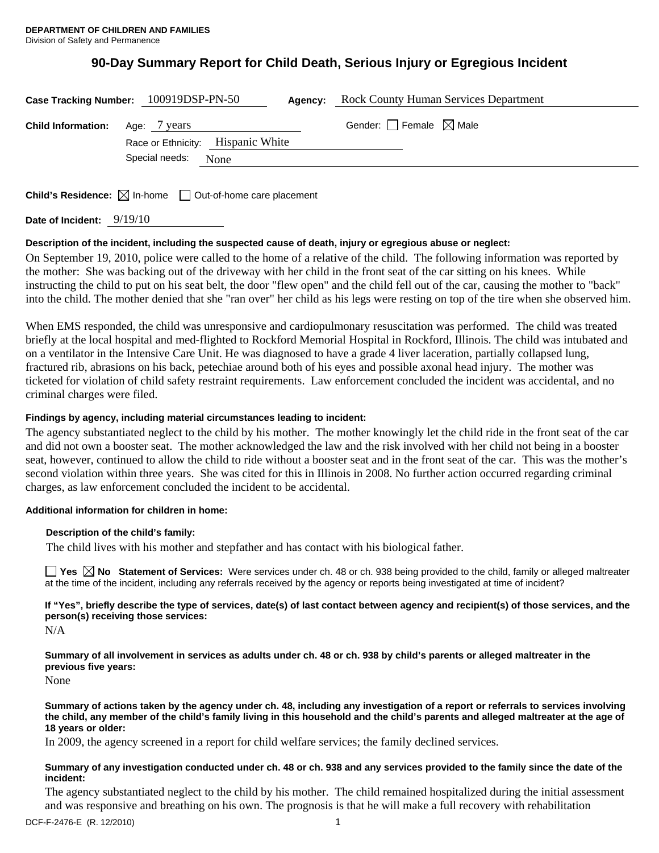# **90-Day Summary Report for Child Death, Serious Injury or Egregious Incident**

|                                        | Case Tracking Number: 100919DSP-PN-50<br>Agency: | <b>Rock County Human Services Department</b> |
|----------------------------------------|--------------------------------------------------|----------------------------------------------|
| <b>Child Information:</b> Age: 7 years | Race or Ethnicity: Hispanic White                | Gender: $\Box$ Female $\boxtimes$ Male       |
|                                        | Special needs:<br>None                           |                                              |

**Child's Residence:**  $\boxtimes$  In-home  $\Box$  Out-of-home care placement

**Date of Incident:** 9/19/10

# **Description of the incident, including the suspected cause of death, injury or egregious abuse or neglect:**

On September 19, 2010, police were called to the home of a relative of the child. The following information was reported by the mother: She was backing out of the driveway with her child in the front seat of the car sitting on his knees. While instructing the child to put on his seat belt, the door "flew open" and the child fell out of the car, causing the mother to "back" into the child. The mother denied that she "ran over" her child as his legs were resting on top of the tire when she observed him.

When EMS responded, the child was unresponsive and cardiopulmonary resuscitation was performed. The child was treated briefly at the local hospital and med-flighted to Rockford Memorial Hospital in Rockford, Illinois. The child was intubated and on a ventilator in the Intensive Care Unit. He was diagnosed to have a grade 4 liver laceration, partially collapsed lung, fractured rib, abrasions on his back, petechiae around both of his eyes and possible axonal head injury. The mother was ticketed for violation of child safety restraint requirements. Law enforcement concluded the incident was accidental, and no criminal charges were filed.

## **Findings by agency, including material circumstances leading to incident:**

The agency substantiated neglect to the child by his mother. The mother knowingly let the child ride in the front seat of the car and did not own a booster seat. The mother acknowledged the law and the risk involved with her child not being in a booster seat, however, continued to allow the child to ride without a booster seat and in the front seat of the car. This was the mother's second violation within three years. She was cited for this in Illinois in 2008. No further action occurred regarding criminal charges, as law enforcement concluded the incident to be accidental.

## **Additional information for children in home:**

#### **Description of the child's family:**

The child lives with his mother and stepfather and has contact with his biological father.

**Yes**  $\boxtimes$  **No** Statement of Services: Were services under ch. 48 or ch. 938 being provided to the child, family or alleged maltreater at the time of the incident, including any referrals received by the agency or reports being investigated at time of incident?

**If "Yes", briefly describe the type of services, date(s) of last contact between agency and recipient(s) of those services, and the person(s) receiving those services:** 

N/A

**Summary of all involvement in services as adults under ch. 48 or ch. 938 by child's parents or alleged maltreater in the previous five years:** 

None

**Summary of actions taken by the agency under ch. 48, including any investigation of a report or referrals to services involving the child, any member of the child's family living in this household and the child's parents and alleged maltreater at the age of 18 years or older:** 

In 2009, the agency screened in a report for child welfare services; the family declined services.

#### **Summary of any investigation conducted under ch. 48 or ch. 938 and any services provided to the family since the date of the incident:**

The agency substantiated neglect to the child by his mother. The child remained hospitalized during the initial assessment and was responsive and breathing on his own. The prognosis is that he will make a full recovery with rehabilitation